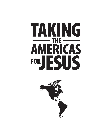# TAKING AMERICAS FORJESUS  $-\text{THE}$

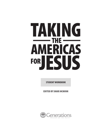# TAKING AMERICAS FORJESUS  $-$ THE $-$

**STUDENT WORKBOOK**

EDITED BY SHARI MCMINN

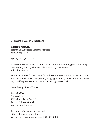Copyright © 2021 by Generations

All rights reserved. Printed in the United States of America 1st Printing, 2021

ISBN: 978-1-954745-21-6

Unless otherwise noted, Scripture taken from the New King James Version®. Copyright © 1982 by Thomas Nelson. Used by permission. All rights reserved.

Scripture marked "NIRV" taken from the HOLY BIBLE, NEW INTERNATIONAL READER'S VERSION™. Copyright © 1995, 1996, 1998 by International Bible Society. Used by permission of Zondervan. All rights reserved.

Cover Design: Justin Turley

Published by: **Generations** 19039 Plaza Drive Ste 210 Parker, Colorado 80134 www.generations.org

For more information on this and other titles from Generations, visit www.generations.org or call 888-389-9080.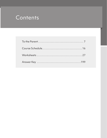# Contents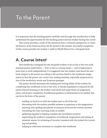# To the Parent

It is important that the teaching parent carefully read through this introduction to fully understand the opportunities for the teaching parent and the student during this course.

This course provides a study of the Americas from a Christian perspective. It covers the history of the Americas from the BC period to the present. Successful completion of this course provides the student 1 credit in World History for a 3rd grade level.

### **A. Course Intent**

This workbook is designed for the 3rd grade student to do on his or her own with minimal parent supervision — if he or she is a strong reader — and is beginning to learn how to work independently. It is suggested that the student read aloud the textbook chapter to the parent according to the sections listed in the workbook assignments so that the parent can correct any reading mistakes, especially mispronunciation of the vocabulary words and Scripture passages.

The parent should determine the reading and writing ability of the student for completing this workbook on his or her own, or decide if guidance is required by the parent beyond listening to the student read aloud and supervision of assignment, exam, and project completion. If additional guidance is determined to be needed, this can be in the form of the parent:

- reading out loud to or with the student part or all of the text
- discussing with the student possible answers to questions in the assignments
- assisting with spelling and phrase or sentence structure for written answers
- overseeing the chart and map study as needed
- gathering supplies or helping complete the enrichment projects
- supervising the student's completion of workbook assignments and taking of semester exams, by reviewing of incorrect answers with the student for correcting and grading
- helping as otherwise necessary to complete this workbook.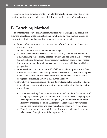There is no right or wrong way to complete this workbook, so decide what works best for your family and modify as needed throughout the course of the school year.

### **B. Teaching Method**

In order for this course to have maximum effect, the teaching parent should consider the importance of life application and enrichment by tying in other aspects of learning (besides the textbook and workbook). These might include:

- 1. Discuss what the student is learning during informal contexts such as dinner time or car rides.
- 2. Help the student research his/her own heritage.
- 3. Listen to the daily radio broadcast, "World View in 5 Minutes" (https://www. generations.org/radio), to stay updated on what God has done in His Story over the last 24-hours. Remember, the news is only the last 24 hours of history. It is important to update the student on current events, from a biblical worldview perspective.
- 4. Use three-dimensional experiences like field trips and family vacations to historical sites as a means of enriching these historical studies. We want to impress on our children the significance of places and times where God worked and brought about amazing developments in world history.
- 5. If you have a struggling learner who is a delayed reader, try doing the following to help him or her absorb the information and not get frustrated while reading the textbook:
	- Take turns reading aloud: Have your student read aloud the first sentence of each paragraph then you read aloud to him or her the rest of the paragraph.
	- Read together aloud: Read aloud along with your student the entire lesson.
	- Record your reading aloud for the student to listen to: Record your voice reading the entire lesson and have your student listen to it several times.
	- Have the student take notes: While listening to you read, have the student take notes or draw pictures of the important facts.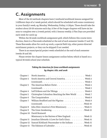## **C. Assignments**

Most of the 26 textbook chapters have 3 textbook/workbook lessons assigned for 3 different days of a 1-week period, which should be scheduled with some consistency in your family's week, eg: Monday, Wednesday, Friday, 1-1:30pm. These should take the student about 20-30 minutes each day. A few of the longer chapters will have six lessons to complete over a 2-week period, with 3 lessons weekly. 2 Flex Days are provided each week for catch-up

Within the 36-week workbook assignment grid, which follows this course introduction, there is a Flex-week scheduled at the end of each semester (weeks 17 and 35). These flex-weeks allow for catch-up work, a special field trip, other parent-directed enrichment projects, or they can be skipped if not needed.

There is an exam/special project week scheduled at the end of each semester (weeks 18 and 36).

Please review the chapter lesson assignment outline below, which is based on a typical 36-week school year schedule.

### *Taking the Americas for Jesus workbook assignments by chapter, title, and week*

| Chapter 1  |                                                                        |
|------------|------------------------------------------------------------------------|
| Chapter 2  | South America and Central America. Week 2                              |
|            |                                                                        |
| Chapter 3  | The Americas Before ChristWeek 4                                       |
|            |                                                                        |
| Chapter 4  | Leif Erikson and the Vikings. $\dots \dots \dots \dots \dots$ . Week 6 |
| Chapter 5  | Christopher Columbus: Reaching the New World Week 7                    |
| Chapter 6  |                                                                        |
| Chapter 7  | William Bradford and the Pilgrims Week 9                               |
|            |                                                                        |
| Chapter 8  | John Eliot: America's First Missionary Week 11                         |
| Chapter 9  |                                                                        |
| Chapter 10 | David Brainerd:                                                        |
|            | Missionary to the Natives of New England. Week 13                      |
| Chapter 11 | Jonathan Edwards: A Love for God's Glory Week 14                       |
| Chapter 12 | Samuel Kirkland: Peacemaker to the Indians Week 15                     |
| Chapter 13 | The Eskimos of Labrador Week 16                                        |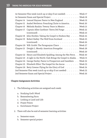|            | 1st Semester Flex week (catch up or skip if not needed) Week 17           |
|------------|---------------------------------------------------------------------------|
|            | 1st Semester Exam and Special Project. Week 18                            |
|            | Chapter 14 Lemuel Haynes: Pastor in New England Week 19                   |
| Chapter 15 | Asahel Nettleton: Preaching Christ to America. Week 20                    |
| Chapter 16 | Melinda Rankin: Twenty Years in Mexico Week 21                            |
|            | Chapter 17 Captain Allen Gardiner: Tierra Del Fuego Week 22               |
|            |                                                                           |
|            | Chapter 18 John Horden: Taking the Gospel to Hudson Bay Week 24           |
| Chapter 19 | Robert Kalley: The Wolf from Scotland Week 25                             |
|            |                                                                           |
|            | Chapter 20 W.B. Grubb: The Paraguayan Chaco Week 27                       |
|            | Chapter 21 Dwight L. Moody: American Evangelist Week 28                   |
|            |                                                                           |
|            | Chapter 22 Henry and Elizabeth Spalding: Among the Nez Perce. Week 30     |
|            | Chapter 23 A Light in the North: Clah Brings the Gospel to Alaska Week 31 |
|            | Chapter 24 George Darley: Pastor to Prospectors and Gamblers Week 32      |
|            | Chapter 25 Elizabeth Elliot: The Gospel for the Aucas Week 33             |
|            | Chapter 26 Betty Greene: Flying for the Glory of God Week 34              |
|            | 2nd Semester Flex week (catch up or skip if not needed) Week 35           |
|            | 2nd Semester Exam and Special Project Week 36                             |

### **Chapter Assignment Activities**

- 1. The following activities are assigned each week:
	- a. Studying God's Word
	- b. Remembering Facts
	- c. Looking at Land and Life
	- d. Prayer Points
	- e. Enrichment Project
- 2. There will also be end-of-semester learning activities:
	- a. Semester exam
	- b. Semester special project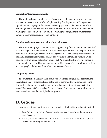#### **Completing Chapter Assignments**

The student should complete the assigned workbook pages in the order given as outlined on the course schedule and *after* reading the chapter (or half chapter) assigned. In order to prepare for these workbook pages, the student could underline or highlight key dates, persons, and events, or write them down in a notebook while reading the textbook. Upon completion of reading the assigned text, students may complete the workbook pages "open textbook."

#### **Completing Chapter Assignment Enrichment Projects**

The enrichment projects are meant as an opportunity for the student to extend his/ her knowledge of the chapter with hands-on learning activities. Most require minimal preparation, supplies, and clean-up. It is suggested that the teaching parent review the enrichment project instructions at least one week ahead of time so supplies are onhand or easily obtained before they are needed. An expanding file or 3-ring binder is recommended for record keeping and memorabilia storage of the enrichment projects (or photographs of them) as the student completes each one.

#### **Completing Exams**

The student should review their completed workbook assignments before taking the multiple choice exams included at the end of the two different semesters. (Hint: The student should focus on studying the workbook questions with correct(ed) answers.) Exams are NOT to be taken "open textbook." Students must use their memory to accurately answer the multiple choice questions.

### **D. Grades**

Grading is optional, but there are two types of grades for this workbook if desired.

- 1. Pass/Fail for completion of weekly assignments to keep the student on track with the work.
- 2. Letter grades for semester exams and special projects so the student begins to learn about grading on a letter scale.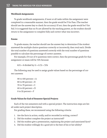#### **Workbook Assignments**

To grade workbook assignments, if most or all tasks within the assignment were completed in a reasonable manner, then the grade would be P for Pass. (The teacher should use the answer key to check for accuracy.) If not, then the grade would be F for Fail. It is suggested that no Fs are allowed by the teaching parent, so the student should return to the assignment to complete fully and correct what was incorrect.

#### **Exams**

To grade exams, the teacher should use the answer key to determine if the student answered the multiple choice questions correctly or incorrectly, then total each. Divide the total number of questions answered correctly with the total number of questions possible to calculate the percentage of correct answers.

For example, if 8 out of 11 questions were correct, then the percentage grade for that assignment or exam will be 72% because:

 $8/11 = 8$  divided by  $11 = 0.72 = 72\%$ 

The following may be used to assign grade values based on the percentage of correct answers:

90 to 100 percent =  $A$ 80 to 89 percent =  $B$ 70 to 79 percent  $= C$ 60 to 69 percent =  $D$ 0 to 59 percent  $=$   $F$ 

#### **Grade Values for End-of-Semester Special Projects**

Each of the two semesters end with a special project. The instruction steps are listed under each project description.

For grading these, we recommend using the following criteria:

- 1. Are the facts in action, orally, and/or recorded in writing, correct?
- 2. Did the student complete the project as instructed?
- 3. Did the student give a presentation, explaining the project and associated facts?
- 4. Did the student willingly do a good job to the best of his or her ability?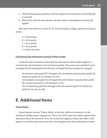- 5. With teaching parent guidance, did the student do the majority of work himself or herself?
- 6. Were titles, subtitles, descriptions, pictures, labels, and graphics included and legible?

Rate each item above on a scale of 1-10. Total the points. Assign a grade according to points:

 $A = 55-60$  points  $B = 45-54$  points  $C = 35-44$  points  $D = 25-34$  points  $F =$  below 24 points

### **Calculating End-of-Semester and End-of-Year Grades**

Grades for end-of-semester exams and special projects will be added together to calculate the end-of-semester and end-of-year grades. These are to be considered equal in weight for the overall grade for the year, so simply find the average. For example:

- 1st semester exam grade (B-) averaged with 1st semester special project grade (A) means the grade for 1st semester is a (B+).
- 2nd semester exam grade (C) averaged with 2nd semester special project grade (B+) means the grade for 2nd semester is a (B-)
- The 1st semester grade (B+) averaged with 2nd semester grade (B-) means the grade for the year is a (B).

# **E. Additional Items**

#### **Prayer Points**

Some chapters contain "Prayer Points" at the end, which are referenced in the workbook weekly prayer assignments. This is one of the ways the student applies what they learn about the Americas. If we are to seek the kingdom of Jesus first (Matt. 6:33), prayer is one of the ways that we do this: *Your kingdom come, Your will be done on earth*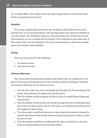*as it is heaven* (Matt. 6:10). Prayer Points are a great opportunity to involve the whole family in praying for the nations.

#### **Schedule**

The course schedule grid included in this workbook, which follows this course introduction, is our recommendation. The teaching parent may adapt the schedule to suit their needs. The schedule is based on a 36-week school year, divided into 1st and 2nd semesters, so as to complete the 26 chapters of the textbook in one school year. A Flex-week is built into the schedule at the end of each semester to allow the teaching parent and student some flexibility.

#### **Testing**

There are two exams for this workbook.

- 1. 1st semester exam
- 2. 2nd semester exam

#### **Ultimate Objectives**

This course has been prepared by authors and editors who are committed to the glory of God and to the preeminence of the Lord Jesus Christ in all things. Therefore, the essential objectives for the student must be:

- 1. That all who study this course would give God the glory for His sovereignty, His power, His goodness, His judgments, and His mercy.
- 2. That the student would recognize that Jesus Christ is indeed King of kings and Lord of lords.
- 3. That the student would see how God works through the lives of individual disciples of the Lord Jesus Christ, who by God's grace, are used for the furtherance of the kingdom of Jesus Christ.
- 4. That the student would find relevance in these historical studies for himself or herself; that these studies would render meaning and purpose to history and to the lives we live.
- 5. That the student would better understand the times in which he or she lives, given an understanding of what has gone before.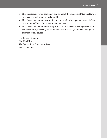- 6. That the student would gain an optimism about the Kingdom of God worldwide, even as the kingdoms of men rise and fall.
- 7. That the student would have a mind and an eye for the important events in history, as defined by a biblical world and life view.
- 8. That the student would know Scripture better and see its amazing relevance to history and life, especially as the many Scripture passages are read through the duration of this course.

For Christ's Kingdom, Shari McMinn The Generations Curriculum Team March 2021, AD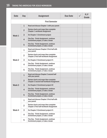| Date              | Day            | Assignment                                                                               | <b>Due Date</b> | P/F<br>Grade |
|-------------------|----------------|------------------------------------------------------------------------------------------|-----------------|--------------|
|                   |                | <b>First Semester</b>                                                                    |                 |              |
|                   | $\mathbf{1}$   | Read and discuss Chapter 1 with your parent                                              |                 |              |
| Week 1            | $\overline{2}$ | Review charts and maps then complete<br><b>Chapter 1 workbook Assignment</b>             |                 |              |
|                   | 3              | Do Chapter 1 Enrichment project                                                          |                 |              |
|                   | $\overline{4}$ | Flex Day - Finish Assignment, continue<br>Enrichment project, or take a break            |                 |              |
|                   | 5              | Flex Day - Finish Assignment, continue<br>Enrichment project, or take a break            |                 |              |
|                   | $\mathbf{1}$   | Read and discuss Chapter 2 first half with<br>your parent                                |                 |              |
|                   | $\overline{2}$ | Review charts and maps then complete<br><b>Chapter 2 first half workbook Assignment</b>  |                 |              |
| Week <sub>2</sub> | 3              | Do Chapter 2 Enrichment project #1                                                       |                 |              |
|                   | 4              | Flex Day - Finish Assignment, continue<br>Enrichment project, or take a break            |                 |              |
|                   | 5              | Flex Day - Finish Assignment, continue<br>Enrichment project, or take a break            |                 |              |
|                   | $\mathbf{1}$   | Read and discuss Chapter 2 second half<br>with your parent                               |                 |              |
|                   | $\overline{2}$ | Review charts and maps then complete<br><b>Chapter 2 second half workbook Assignment</b> |                 |              |
| Week <sub>3</sub> | 3              | Do Chapter 2 Enrichment project #2                                                       |                 |              |
|                   | $\overline{4}$ | Flex Day - Finish Assignment, continue<br>Enrichment project, or take a break            |                 |              |
|                   | 5              | Flex Day - Finish Assignment, continue<br>Enrichment project, or take a break            |                 |              |
|                   | $\mathbf{1}$   | Read and discuss Chapter 3 first half with<br>your parent                                |                 |              |
|                   | $\overline{2}$ | Review charts and maps then complete<br><b>Chapter 3 first half workbook Assignment</b>  |                 |              |
| Week 4            | 3              | Do Chapter 3 Enrichment project #1                                                       |                 |              |
|                   | 4              | Flex Day - Finish Assignment, continue<br>Enrichment project, or take a break            |                 |              |
|                   | 5              | Flex Day - Finish Assignment, continue<br>Enrichment project, or take a break            |                 |              |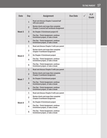### TO THE PARENT 17

| <b>Date</b>       | Day            | Assignment                                                                               | <b>Due Date</b> | P/F<br>Grade |
|-------------------|----------------|------------------------------------------------------------------------------------------|-----------------|--------------|
| Week <sub>5</sub> | $\mathbf{1}$   | Read and discuss Chapter 3 second half<br>with your parent                               |                 |              |
|                   | $\overline{2}$ | Review charts and maps then complete<br><b>Chapter 3 second half workbook Assignment</b> |                 |              |
|                   | 3              | Do Chapter 3 Enrichment project #2                                                       |                 |              |
|                   | 4              | Flex Day - Finish Assignment, continue<br>Enrichment project, or take a break            |                 |              |
|                   | 5              | Flex Day - Finish Assignment, continue<br>Enrichment project, or take a break            |                 |              |
|                   | $\mathbf{1}$   | Read and discuss Chapter 4 with your parent                                              |                 |              |
| Week 6            | $\overline{2}$ | Review charts and maps then complete<br><b>Chapter 4 workbook Assignment</b>             |                 |              |
|                   | 3              | Do Chapter 4 Enrichment project                                                          |                 |              |
|                   | 4              | Flex Day - Finish Assignment, continue<br>Enrichment project, or take a break            |                 |              |
|                   | 5              | Flex Day - Finish Assignment, continue<br>Enrichment project, or take a break            |                 |              |
|                   | $\mathbf{1}$   | Read and discuss Chapter 5 with your parent                                              |                 |              |
|                   | $\overline{2}$ | Review charts and maps then complete<br><b>Chapter 5 workbook Assignment</b>             |                 |              |
| Week 7            | 3              | Do Chapter 5 Enrichment project                                                          |                 |              |
|                   | $\overline{4}$ | Flex Day - Finish Assignment, continue<br>Enrichment project, or take a break            |                 |              |
|                   | 5              | Flex Day - Finish Assignment, continue<br>Enrichment project, or take a break            |                 |              |
|                   | $\mathbf{1}$   | Read and discuss Chapter 6 with your parent                                              |                 |              |
|                   | $\overline{2}$ | Review charts and maps then complete<br><b>Chapter 6 workbook Assignment</b>             |                 |              |
| Week 8            | 3              | Do Chapter 6 Enrichment project                                                          |                 |              |
|                   | 4              | Flex Day - Finish Assignment, continue<br>Enrichment project, or take a break            |                 |              |
|                   | 5              | Flex Day - Finish Assignment, continue<br>Enrichment project, or take a break            |                 |              |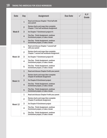| Date    | Day            | <b>Assignment</b>                                                                       | <b>Due Date</b> | P/F<br>Grade |
|---------|----------------|-----------------------------------------------------------------------------------------|-----------------|--------------|
| Week 9  | $\mathbf{1}$   | Read and discuss Chapter 7 first half with<br>your parent                               |                 |              |
|         | $\overline{2}$ | Review charts and maps then complete<br><b>Chapter 7 first half workbook Assignment</b> |                 |              |
|         | 3              | Do Chapter 7 Enrichment project #1                                                      |                 |              |
|         | $\overline{4}$ | Flex Day - Finish Assignment, continue<br>Enrichment project, or take a break           |                 |              |
|         | 5              | Flex Day - Finish Assignment, continue<br>Enrichment project, or take a break           |                 |              |
| Week 10 | $\mathbf{1}$   | Read and discuss Chapter 7 second half<br>with your parent                              |                 |              |
|         | $\overline{2}$ | Review charts and maps then complete<br>Chapter 7 second half workbook Assignment       |                 |              |
|         | 3              | Do Chapter 7 Enrichment project #2                                                      |                 |              |
|         | 4              | Flex Day - Finish Assignment, continue<br>Enrichment project, or take a break           |                 |              |
|         | 5              | Flex Day - Finish Assignment, continue<br>Enrichment project, or take a break           |                 |              |
|         | $\mathbf{1}$   | Read and discuss Chapter 8 with your parent                                             |                 |              |
|         | $\overline{2}$ | Review charts and maps then complete<br><b>Chapter 8 workbook Assignment</b>            |                 |              |
| Week 11 | 3              | Do Chapter 8 Enrichment project                                                         |                 |              |
|         | $\overline{4}$ | Flex Day - Finish Assignment, continue<br>Enrichment project, or take a break           |                 |              |
|         | 5              | Flex Day - Finish Assignment, continue<br>Enrichment project, or take a break           |                 |              |
|         | $\mathbf{1}$   | Read and discuss Chapter 9 with your parent                                             |                 |              |
|         | $\overline{2}$ | Review charts and maps then complete<br><b>Chapter 9 workbook Assignment</b>            |                 |              |
| Week 12 | 3              | Do Chapter 9 Enrichment project                                                         |                 |              |
|         | 4              | Flex Day - Finish Assignment, continue<br>Enrichment project, or take a break           |                 |              |
|         | 5              | Flex Day - Finish Assignment, continue<br>Enrichment project, or take a break           |                 |              |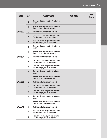| <b>Date</b> | Day            | Assignment                                                                    | <b>Due Date</b> | P/F<br>Grade |
|-------------|----------------|-------------------------------------------------------------------------------|-----------------|--------------|
| Week 13     | $\mathbf{1}$   | Read and discuss Chapter 10 with your<br>parent                               |                 |              |
|             | $\overline{2}$ | Review charts and maps then complete<br><b>Chapter 10 workbook Assignment</b> |                 |              |
|             | 3              | Do Chapter 10 Enrichment project                                              |                 |              |
|             | 4              | Flex Day - Finish Assignment, continue<br>Enrichment project, or take a break |                 |              |
|             | 5              | Flex Day - Finish Assignment, continue<br>Enrichment project, or take a break |                 |              |
|             | $\mathbf{1}$   | Read and discuss Chapter 11 with your<br>parent                               |                 |              |
| Week 14     | $\overline{2}$ | Review charts and maps then complete<br><b>Chapter 11 workbook Assignment</b> |                 |              |
|             | 3              | Do Chapter 11 Enrichment project                                              |                 |              |
|             | 4              | Flex Day - Finish Assignment, continue<br>Enrichment project, or take a break |                 |              |
|             | 5              | Flex Day - Finish Assignment, continue<br>Enrichment project, or take a break |                 |              |
|             | $\mathbf{1}$   | Read and discuss Chapter 12 with your<br>parent                               |                 |              |
|             | $\overline{2}$ | Review charts and maps then complete<br><b>Chapter 12 workbook Assignment</b> |                 |              |
| Week 15     | 3              | Do Chapter 12 Enrichment project                                              |                 |              |
|             | $\overline{4}$ | Flex Day - Finish Assignment, continue<br>Enrichment project, or take a break |                 |              |
|             | 5              | Flex Day - Finish Assignment, continue<br>Enrichment project, or take a break |                 |              |
|             | $\mathbf{1}$   | Read and discuss Chapter 13 with your<br>parent                               |                 |              |
|             | $\overline{2}$ | Review charts and maps then complete<br><b>Chapter 13 workbook Assignment</b> |                 |              |
| Week 16     | 3              | Do Chapter 13 Enrichment project                                              |                 |              |
|             | 4              | Flex Day - Finish Assignment, continue<br>Enrichment project, or take a break |                 |              |
|             | 5              | Flex Day - Finish Assignment, continue<br>Enrichment project, or take a break |                 |              |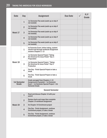| <b>Date</b>                  | Day            | <b>Assignment</b>                                                                                                                                        | <b>Due Date</b> | P/F<br>Grade |
|------------------------------|----------------|----------------------------------------------------------------------------------------------------------------------------------------------------------|-----------------|--------------|
|                              | $\mathbf{1}$   | 1st Semester Flex week (catch up or skip if<br>not needed)                                                                                               |                 |              |
|                              | $\overline{2}$ | 1st Semester Flex week (catch up or skip if<br>not needed)                                                                                               |                 |              |
| Week 17                      | 3              | 1st Semester Flex week (catch up or skip if<br>not needed)                                                                                               |                 |              |
|                              | $\overline{4}$ | 1st Semester Flex week (catch up or skip if<br>not needed)                                                                                               |                 |              |
|                              | 5              | 1st Semester Flex week (catch up or skip if<br>not needed)                                                                                               |                 |              |
| Week 18                      | $\mathbf{1}$   | Ist Semester Exam: before taking, student<br>should read through workbook Assignment<br>answers Chapters 1-13                                            |                 |              |
|                              | $\overline{2}$ | <b>1st Semester Special Project "Taking</b><br>the Americas For Jesus Poster" Day 1:<br>Preparation                                                      |                 |              |
|                              | 3              | <b>1st Semester Special Project: "Taking</b><br>the Americas for Jesus Poster" Day 2:<br><b>Production</b>                                               |                 |              |
|                              | 4              | Flex Day - Finish Special Project or take a<br>break                                                                                                     |                 |              |
|                              | 5              | Flex Day - Finish Special Project or take a<br>break                                                                                                     |                 |              |
| <b>1st Semester</b><br>Grade |                | <b>Grade averaged from Chapters 1-13</b><br>Assignments (if graded) + 1st Semester<br>Exam + 1st Semester Special Project = 2st<br><b>Semester Grade</b> |                 |              |
|                              |                | <b>Second Semester</b>                                                                                                                                   |                 |              |
|                              | $\mathbf{1}$   | Read and discuss Chapter 14 with your<br>parent                                                                                                          |                 |              |
|                              | $\overline{2}$ | Review charts and maps then complete<br><b>Chapter 14 workbook Assignment</b>                                                                            |                 |              |
| Week 19                      | 3              | Do Chapter 14 Enrichment project                                                                                                                         |                 |              |
|                              | $\overline{4}$ | Flex Day - Finish Assignment, continue<br>Enrichment project, or take a break                                                                            |                 |              |
|                              | 5              | Flex Day - Finish Assignment, continue<br>Enrichment project, or take a break                                                                            |                 |              |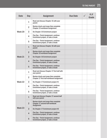| <b>Date</b> | Day            | Assignment                                                                                   | <b>Due Date</b> | P/F<br>Grade |
|-------------|----------------|----------------------------------------------------------------------------------------------|-----------------|--------------|
| Week 20     | $\mathbf{1}$   | Read and discuss Chapter 15 with your<br>parent                                              |                 |              |
|             | $\overline{2}$ | Review charts and maps then complete<br><b>Chapter 15 workbook Assignment</b>                |                 |              |
|             | 3              | Do Chapter 15 Enrichment project                                                             |                 |              |
|             | 4              | Flex Day - Finish Assignment, continue<br>Enrichment project, or take a break                |                 |              |
|             | 5              | Flex Day - Finish Assignment, continue<br>Enrichment project, or take a break                |                 |              |
|             | $\overline{1}$ | Read and discuss Chapter 16 with your<br>parent                                              |                 |              |
|             | $\overline{2}$ | Review charts and maps then complete<br><b>Chapter 16 workbook Assignment</b>                |                 |              |
| Week 21     | 3              | Do Chapter 16 Enrichment project                                                             |                 |              |
|             | 4              | Flex Day - Finish Assignment, continue<br>Enrichment project, or take a break                |                 |              |
|             | 5              | Flex Day - Finish Assignment, continue<br>Enrichment project, or take a break                |                 |              |
|             | $\mathbf{1}$   | Read and discuss Chapter 17 first half with<br>your parent                                   |                 |              |
|             | $\overline{2}$ | Review charts and maps then complete<br><b>Chapter 17 first half workbook Assignment</b>     |                 |              |
| Week 22     | 3              | Do Chapter 17 Enrichment project #1                                                          |                 |              |
|             | 4              | Flex Day - Finish Assignment, continue<br>Enrichment project, or take a break                |                 |              |
|             | 5              | Flex Day - Finish Assignment, continue<br>Enrichment project, or take a break                |                 |              |
|             | $\mathbf{1}$   | Read and discuss Chapter 17 second half<br>with your parent                                  |                 |              |
|             | $\overline{2}$ | Review charts and maps then complete<br><b>Chapter 17 second half workbook</b><br>Assignment |                 |              |
| Week 23     | 3              | Do Chapter 17 Enrichment project #2                                                          |                 |              |
|             | 4              | Flex Day - Finish Assignment, continue<br>Enrichment project, or take a break                |                 |              |
|             | 5              | Flex Day - Finish Assignment, continue<br>Enrichment project, or take a break                |                 |              |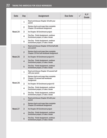| Date    | Day            | Assignment                                                                                   | <b>Due Date</b> | P/F<br>Grade |
|---------|----------------|----------------------------------------------------------------------------------------------|-----------------|--------------|
| Week 24 | $\mathbf{1}$   | Read and discuss Chapter 18 with your<br>parent                                              |                 |              |
|         | $\overline{2}$ | Review charts and maps then complete<br><b>Chapter 18 workbook Assignment</b>                |                 |              |
|         | 3              | Do Chapter 18 Enrichment project                                                             |                 |              |
|         | 4              | Flex Day - Finish Assignment, continue<br>Enrichment project, or take a break                |                 |              |
|         | 5              | Flex Day - Finish Assignment, continue<br>Enrichment project, or take a break                |                 |              |
|         | $\mathbf{1}$   | Read and discuss Chapter 19 first half with<br>your parent                                   |                 |              |
|         | $\overline{2}$ | Review charts and maps then complete<br><b>Chapter 19 first half workbook Assignment</b>     |                 |              |
| Week 25 | $\overline{3}$ | Do Chapter 19 Enrichment project #1                                                          |                 |              |
|         | $\overline{4}$ | Flex Day - Finish Assignment, continue<br>Enrichment project, or take a break                |                 |              |
|         | 5              | Flex Day - Finish Assignment, continue<br>Enrichment project, or take a break                |                 |              |
|         | $\mathbf{1}$   | Read and discuss Chapter 19 second half<br>with your parent                                  |                 |              |
|         | $\overline{2}$ | Review charts and maps then complete<br>Chapter 19 second half workbook<br><b>Assignment</b> |                 |              |
| Week 26 | 3              | Do Chapter 19 Enrichment project #2                                                          |                 |              |
|         | 4              | Flex Day - Finish Assignment, continue<br>Enrichment project, or take a break                |                 |              |
|         | 5              | Flex Day - Finish Assignment, continue<br>Enrichment project, or take a break                |                 |              |
|         | $\mathbf{1}$   | Read and discuss Chapter 20 with your<br>parent                                              |                 |              |
|         | $\overline{2}$ | Review charts and maps then complete<br><b>Chapter 20 workbook Assignment</b>                |                 |              |
| Week 27 | $\overline{3}$ | Do Chapter 20 Enrichment project                                                             |                 |              |
|         | $\overline{4}$ | Flex Day - Finish Assignment, continue<br>Enrichment project, or take a break                |                 |              |
|         | 5              | Flex Day - Finish Assignment, continue<br>Enrichment project, or take a break                |                 |              |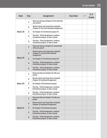| Date    | Day            | <b>Assignment</b>                                                                                   | <b>Due Date</b> | P/F<br>Grade |
|---------|----------------|-----------------------------------------------------------------------------------------------------|-----------------|--------------|
| Week 28 | $\mathbf{1}$   | Read and discuss Chapter 21 first half with<br>your parent                                          |                 |              |
|         | $\overline{2}$ | Review charts and maps then complete<br><b>Chapter 21 first half workbook Assignment</b>            |                 |              |
|         | 3              | Do Chapter 21 Enrichment project #1                                                                 |                 |              |
|         | 4              | Flex Day - Finish Assignment, continue<br>Enrichment project, or take a break                       |                 |              |
|         | 5              | Flex Day - Finish Assignment, continue<br>Enrichment project, or take a break                       |                 |              |
|         | $\mathbf{1}$   | Read and discuss Chapter 21 second half<br>with your parent                                         |                 |              |
|         | $\overline{2}$ | Review charts and maps then complete<br><b>Chapter 21 second half workbook</b><br><b>Assignment</b> |                 |              |
| Week 29 | 3              | Do Chapter 21 Enrichment project #2                                                                 |                 |              |
|         | 4              | Flex Day - Finish Assignment, continue<br>Enrichment project, or take a break                       |                 |              |
|         | 5              | Flex Day - Finish Assignment, continue<br>Enrichment project, or take a break                       |                 |              |
|         | $\mathbf{1}$   | Read and discuss Chapter 22 with your<br>parent                                                     |                 |              |
|         | $\overline{2}$ | Review charts and maps then complete<br><b>Chapter 22 workbook Assignment</b>                       |                 |              |
| Week 30 | 3              | Do Chapter 22 Enrichment project                                                                    |                 |              |
|         | 4              | Flex Day - Finish Assignment, continue<br>Enrichment project, or take a break                       |                 |              |
|         | 5              | Flex Day - Finish Assignment, continue<br>Enrichment project, or take a break                       |                 |              |
|         | $\mathbf{1}$   | Read and discuss Chapter 23 with your<br>parent                                                     |                 |              |
|         | $\overline{2}$ | Review charts and maps then complete<br><b>Chapter 23 workbook Assignment</b>                       |                 |              |
| Week 31 | 3              | Do Chapter 23 Enrichment project                                                                    |                 |              |
|         | 4              | Flex Day - Finish Assignment, continue<br>Enrichment project, or take a break                       |                 |              |
|         | 5              | Flex Day - Finish Assignment, continue<br>Enrichment project, or take a break                       |                 |              |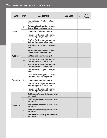| <b>Date</b> | Day            | <b>Assignment</b>                                                             | <b>Due Date</b> | P/F<br>Grade |
|-------------|----------------|-------------------------------------------------------------------------------|-----------------|--------------|
| Week 32     | $\mathbf{1}$   | Read and discuss Chapter 24 with your<br>parent                               |                 |              |
|             | $\overline{2}$ | Review charts and maps then complete<br><b>Chapter 24 workbook Assignment</b> |                 |              |
|             | 3              | Do Chapter 24 Enrichment project                                              |                 |              |
|             | 4              | Flex Day - Finish Assignment, continue<br>Enrichment project, or take a break |                 |              |
|             | 5              | Flex Day - Finish Assignment, continue<br>Enrichment project, or take a break |                 |              |
|             | $\mathbf{1}$   | Read and discuss Chapter 25 with your<br>parent                               |                 |              |
| Week 33     | $\overline{2}$ | Review charts and maps then complete<br><b>Chapter 25 workbook Assignment</b> |                 |              |
|             | 3              | Do Chapter 25 Enrichment project                                              |                 |              |
|             | $\overline{4}$ | Flex Day - Finish Assignment, continue<br>Enrichment project, or take a break |                 |              |
|             | 5              | Flex Day - Finish Assignment, continue<br>Enrichment project, or take a break |                 |              |
|             | $\mathbf{1}$   | Read and discuss Chapter 26 with your<br>parent                               |                 |              |
|             | $\overline{2}$ | Review charts and maps then complete<br><b>Chapter 26 workbook Assignment</b> |                 |              |
| Week 34     | 3              | Do Chapter 26 Enrichment project                                              |                 |              |
|             | 4              | Flex Day - Finish Assignment, continue<br>Enrichment project, or take a break |                 |              |
|             | 5              | Flex Day - Finish Assignment, continue<br>Enrichment project, or take a break |                 |              |
|             | $\mathbf{1}$   | 2nd Semester Flex week (catch up or skip if<br>not needed)                    |                 |              |
|             | $\overline{2}$ | 2nd Semester Flex week (catch up or skip if<br>not needed)                    |                 |              |
| Week 35     | 3              | 2nd Semester Flex week (catch up or skip if<br>not needed)                    |                 |              |
|             | 4              | 2nd Semester Flex week (catch up or skip if<br>not needed)                    |                 |              |
|             | 5              | 2nd Semester Flex week (catch up or skip if<br>not needed)                    |                 |              |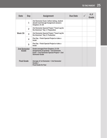| Date                         | Day            | <b>Assignment</b>                                                                                                                                  | <b>Due Date</b> | P/F<br>Grade |
|------------------------------|----------------|----------------------------------------------------------------------------------------------------------------------------------------------------|-----------------|--------------|
| Week 36                      | 1              | 2nd Semester Exam: before taking, student<br>should read through Assignment answers<br>Chapters 14-26                                              |                 |              |
|                              | $\overline{2}$ | 2nd Semester Special Project "Travel Log for<br>the Americas" Day 1: Preparation                                                                   |                 |              |
|                              | 3              | 2nd Semester Special Project "Travel Log for<br>the Americas" Day 2: Production                                                                    |                 |              |
|                              | 4              | Flex Day - Finish Special Project or take a<br>break                                                                                               |                 |              |
|                              | 5              | Flex Day - Finish Special Project or take a<br>break                                                                                               |                 |              |
| <b>2nd Semester</b><br>Grade |                | Grade averaged from Chapters 13-26<br>Assignments (if graded) + 2nd Semester<br>Exam + 2nd Semester Special Project = 2nd<br><b>Semester Grade</b> |                 |              |
| <b>Final Grade</b>           |                | Average of 1st Semester + 2nd Semester<br>$Grades =$<br><b>Final Grade for Year</b>                                                                |                 |              |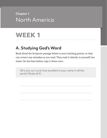# **Chapter 1** North America

# **WEEK 1**

# **A. Studying God's Word**

Read aloud the Scripture passage below to your teaching parent, so they can correct any mistakes as you read. Then read it silently to yourself two times. On the lines below, copy it down once.

Oh Lord, our Lord, how excellent is your name in all the earth! (Psalm 8:9)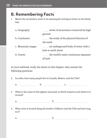### **B. Remembering Facts**

1. Match the vocabulary word to its meaning by writing its letter on the blank line:

| a. Geography       | series of mountains connected by high |
|--------------------|---------------------------------------|
|                    | ground                                |
| b. Continents      | the study of the physical features of |
|                    | the earth                             |
| c. Mountain ranges | an underground body of water with a   |
|                    |                                       |
|                    | hole to earth above                   |
| d. Cenote          | the world's main continuous expanses  |

In your textbook, study the charts in this chapter, then answer the following questions:

- 2. In order, how many people live in Canada, Mexico, and the USA?
	- a. <u>b. c.</u> c.
- 3. What is the name of the highest mountain in North America and where is it located?

a. b.

4. What river is located along the border of Mexico and the USA and how long is it?

a. <u>b.</u> b.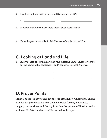- 5. How long and how wide is the Grand Canyon in the USA?
	- a. b.
- 6. In what Canadian town are there a lot of polar bears found?
- 7. Name the great waterfall (of 3 falls) between Canada and the USA.

# **C. Looking at Land and Life**

8. Study the map of North America in your textbook. On the lines below, write out the names of the capital cities and 3 countries in North America.

# **D. Prayer Points**

Praise God for His power and goodness in creating North America. Thank Him for His power and majesty seen in deserts, forests, mountains, jungles, oceans, rivers and the sky. Pray that the peoples of North America will hear His Word and turn to Him as their only hope.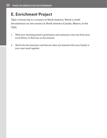# **E. Enrichment Project**

Take a virtual trip to a country in North America. Watch a travel documentary on one country in North America (Canada, Mexico, or the USA).

- 1. With your teaching parent's permission and assistance, rent one from your local library or find one on the internet.
- 2. Watch the documentary and discuss what you learned with your family at your next meal together.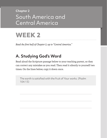# **Chapter 2** South America and Central America



*Read the first half of Chapter 2, up to "Central America."*

# **A. Studying God's Word**

Read aloud the Scripture passage below to your teaching parent, so they can correct any mistakes as you read. Then read it silently to yourself two times. On the lines below, copy it down once.

The earth is satisfied with the fruit of Your works. (Psalm 104:13)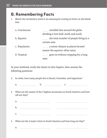### **B. Remembering Facts**

1. Match the vocabulary word to its meaning by writing its letter on the blank line:

| a. Continuous | invisible line around the globe        |  |  |
|---------------|----------------------------------------|--|--|
|               | dividing it into half, north and south |  |  |
| b. Equator    | the total number of people living in a |  |  |
|               | certain area                           |  |  |
| c. Population | a warm climate in places located       |  |  |
|               | nearer the equator; often rainy        |  |  |
| d. Tropical   | goes on without stopping for a long    |  |  |
|               |                                        |  |  |

In your textbook, study the charts in this chapter, then answer the following questions:

2. In order, how many people live in Brazil, Columbia, and Argentina?

3. What are the names of the 3 highest mountains in South America and how tall are they?

| רז<br>d |  |  |
|---------|--|--|
|         |  |  |
|         |  |  |

- 4. What are the 2 major rivers in South America and how long are they?
	- a. <u>\_\_\_\_\_\_\_\_\_\_\_\_\_\_\_\_\_\_\_\_\_\_\_\_\_\_\_\_\_\_\_\_\_\_\_</u>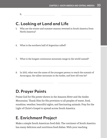b.

### **C. Looking at Land and Life**

- 5. Why are the winter and summer seasons reversed in South America from North America?
- 6. What is the southern half of Argentina called?
- 7. What is the longest continuous mountain range in the world named?
- 8. In 2013, what was the name of the youngest person to reach the summit of Aconcagua, the tallest mountain in the Andes, and how old was he?

# **D. Prayer Points**

Praise God for His power shown in the Amazon River and the Andes Mountains. Thank Him for His provision to all peoples of water, food, sunshine, weather, beautiful sights, and fascinating animals. Pray for the Light of Christ's Gospel to spread across South America.

# **E. Enrichment Project**

Make a simple South American food dish. The continent of South America has many delicious and nutritious food dishes. With your teaching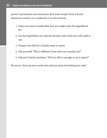parent's permission and assistance, find some recipes from a South American country in a cookbook or on the internet.

- 1. Select one easy-to-make dish that you might have the ingredients for.
- 2. Get the ingredients out and the kitchen tools ready you will need to use.
- 3. Prepare the dish for a family meal or snack.
- 4. Ask yourself, "Was it different from what you usually eat?"
- 5. Ask your family members, "Did you like it enough to eat it again?"

Be sure to clean up your work area and put away everything you used.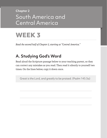# **Chapter 2** South America and Central America



*Read the second half of Chapter 2, starting at "Central America."*

# **A. Studying God's Word**

Read aloud the Scripture passage below to your teaching parent, so they can correct any mistakes as you read. Then read it silently to yourself two times. On the lines below, copy it down once.

Great is the Lord, and greatly to be praised. (Psalm 145:3a)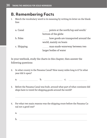### **B. Remembering Facts**

1. Match the vocabulary word to its meaning by writing its letter on the blank line:

| a. Canal    | points at the north/top and south/                             |  |  |
|-------------|----------------------------------------------------------------|--|--|
|             | bottom of the globe                                            |  |  |
| b. Poles    | how goods are transported around the<br>world, mainly on boats |  |  |
| c. Shipping | man-made waterway between two<br>larger bodies of water        |  |  |

In your textbook, study the charts in this chapter, then answer the following questions:

- 2. In what county is the Panama Canal? How many miles long is it? In what year did it open?
	- a. b. c.
- 3. Before the Panama Canal was built, around what part of what continent did ships have to travel for shipping goods around the world?
- 4. For what two main reasons was the shipping route before the Panama Canal not a good one?
	- a.
	- b.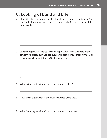# **C. Looking at Land and Life**

5. Study the chart in your textbook, which lists the countries of Central America. On the lines below, write out the names of the 7 countries located there (in any order).

- 6. In order of greatest to least based on population, write the name of the country, its capital city, and the number of people living there for the 3 largest countries by population in Central America.
	- a. b. c. The contract of the contract of the contract of the contract of the contract of the contract of the contract of the contract of the contract of the contract of the contract of the contract of the contract of the contrac
- 7. What is the capital city of the country named Belize?
- 8. What is the capital city of the country named Costa Rica?
- 9. What is the capital city of the country named Nicaragua?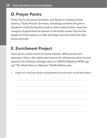## **D. Prayer Points**

Praise God for His power, goodness, and beauty in creating Central America. Thank Him for the vision, technology, and labor He gave to mankind to build the Panama Canal so there could be direct travel and transport of goods from the Atlantic to the Pacific oceans. Pray for the people of Central America to hear the Gospel and trust Christ for their Savior and Lord.

# **E. Enrichment Project**

Learn about current events in Central America. With your parent's assistance, check a few online news sources for information about Central America. For Christian coverage, check out *WORLD Magazine* (WNG.org) and "The World View in 5 Minutes" (TheWorldView.com).

1. Listen to or read one article, writing down the main facts on the lines below: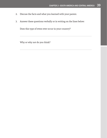- 2. Discuss the facts and what you learned with your parent.
- 3. Answer these questions verbally or in writing on the lines below:

Does this type of event ever occur in your country?

Why or why not do you think?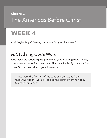# **Chapter 3** The Americas Before Christ

# **WEEK 4**

*Read the first half of Chapter 3, up to "Peoples of North America."*

# **A. Studying God's Word**

Read aloud the Scripture passage below to your teaching parent, so they can correct any mistakes as you read. Then read it silently to yourself two times. On the lines below, copy it down once.

These were the families of the sons of Noah…and from these the nations were divided on the earth after the flood. (Genesis 10:32a, c)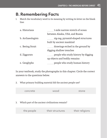# **B. Remembering Facts**

1. Match the vocabulary word to its meaning by writing its letter on the blank line:

| a. Historians     | 1-mile narrow stretch of ocean      |  |  |
|-------------------|-------------------------------------|--|--|
|                   | between Alaska, USA, and Russia     |  |  |
| b. Archaeologists | zig-zag, pyramid-shaped structures  |  |  |
|                   | built by ancient mankind            |  |  |
| c. Bering Strait  | drawings etched in the ground by    |  |  |
|                   | digging shallow trenches            |  |  |
| d. Ziggurats      | people who study history by digging |  |  |
|                   | up objects and bodily remains       |  |  |
| e. Geoglyphs      | people who study human history      |  |  |

In your textbook, study the photographs in this chapter. Circle the correct answers to the questions below.

2. What primary building material did the ancient people use?

|    | concrete   | wood                                            | stone           |
|----|------------|-------------------------------------------------|-----------------|
|    |            |                                                 |                 |
| 3. |            | Which part of the ancient civilizations remain? |                 |
|    | the people | their structures                                | their religions |
|    |            |                                                 |                 |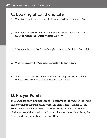# **C. Looking at Land and Life**

- 4. What two gigantic oceans separate the Americas from Europe and Asia?
- 5. What book do we need to read to understand history, that is God's Word, is true, and records the earliest events in His story?
- 6. What did Adam and Eve do that brought misery and death into the world?
- 7. Who was preserved by God to fill the world with people again?
- 8. When the Lord stopped the Tower of Babel building project, what did He confuse so the people would scatter all over the world?

# **D. Prayer Points**

Praise God for providing evidence of His mercy and judgment in the world and showing us the truth of His Word, the Bible. Thank Him for His true Word in the Bible that tells us about His creation of mankind. Pray that all the natives of the Americas will have a chance to learn about Jesus, the Savior of the world, and come to know Him.